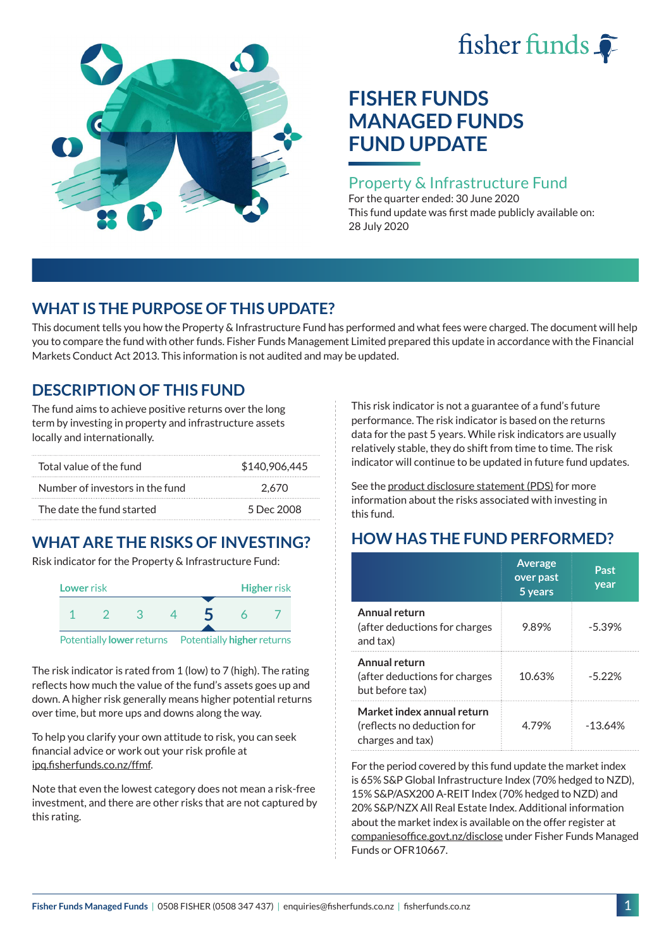# fisher funds  $\hat{\bullet}$



# **FISHER FUNDS MANAGED FUNDS FUND UPDATE**

#### Property & Infrastructure Fund

For the quarter ended: 30 June 2020 This fund update was first made publicly available on: 28 July 2020

## **WHAT IS THE PURPOSE OF THIS UPDATE?**

This document tells you how the Property & Infrastructure Fund has performed and what fees were charged. The document will help you to compare the fund with other funds. Fisher Funds Management Limited prepared this update in accordance with the Financial Markets Conduct Act 2013. This information is not audited and may be updated.

## **DESCRIPTION OF THIS FUND**

The fund aims to achieve positive returns over the long term by investing in property and infrastructure assets locally and internationally.

| Total value of the fund         | \$140,906,445 |
|---------------------------------|---------------|
| Number of investors in the fund | 2.670         |
| The date the fund started       | 5 Dec 2008    |

# **WHAT ARE THE RISKS OF INVESTING?**

Risk indicator for the Property & Infrastructure Fund:



The risk indicator is rated from 1 (low) to 7 (high). The rating reflects how much the value of the fund's assets goes up and down. A higher risk generally means higher potential returns over time, but more ups and downs along the way.

To help you clarify your own attitude to risk, you can seek financial advice or work out your risk profile at [ipq.fisherfunds.co.nz/ffmf](https://ipq.fisherfunds.co.nz/ffmf).

Note that even the lowest category does not mean a risk-free investment, and there are other risks that are not captured by this rating.

This risk indicator is not a guarantee of a fund's future performance. The risk indicator is based on the returns data for the past 5 years. While risk indicators are usually relatively stable, they do shift from time to time. The risk indicator will continue to be updated in future fund updates.

See the [product disclosure statement \(PDS\)](https://fisherfunds.co.nz/assets/PDS/Fisher-Funds-Managed-Funds-PDS.pdf) for more information about the risks associated with investing in this fund.

## **HOW HAS THE FUND PERFORMED?**

|                                                                              | <b>Average</b><br>over past<br>5 years | Past<br>year |
|------------------------------------------------------------------------------|----------------------------------------|--------------|
| Annual return<br>(after deductions for charges<br>and tax)                   | 9.89%                                  | $-5.39%$     |
| Annual return<br>(after deductions for charges<br>but before tax)            | 10.63%                                 | $-5.22\%$    |
| Market index annual return<br>(reflects no deduction for<br>charges and tax) | 4.79%                                  | $-13.64%$    |

For the period covered by this fund update the market index is 65% S&P Global Infrastructure Index (70% hedged to NZD), 15% S&P/ASX200 A-REIT Index (70% hedged to NZD) and 20% S&P/NZX All Real Estate Index. Additional information about the market index is available on the offer register at [companiesoffice.govt.nz/disclose](http://companiesoffice.govt.nz/disclose) under Fisher Funds Managed Funds or OFR10667.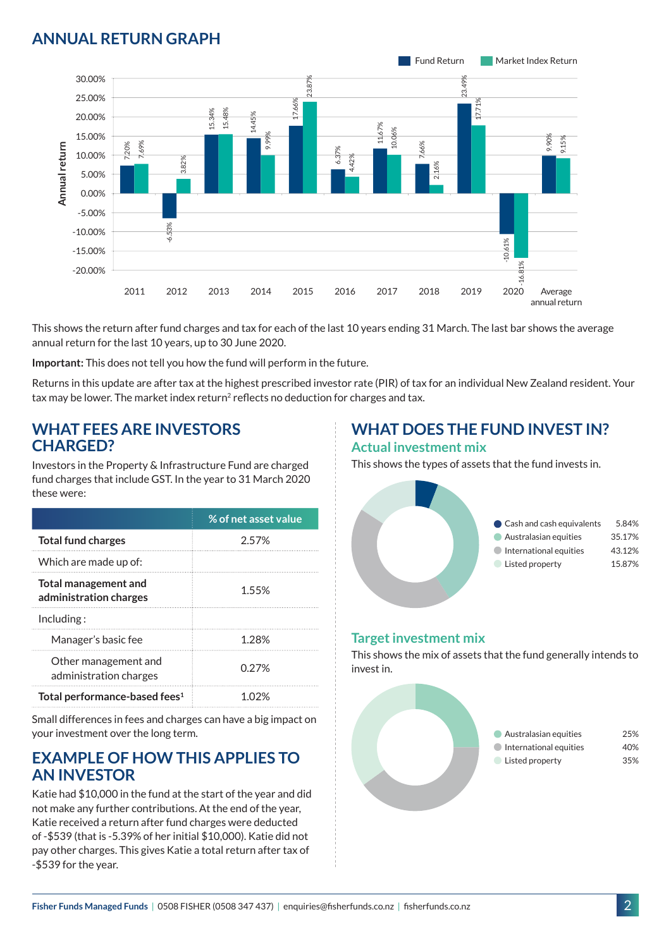## **ANNUAL RETURN GRAPH**



This shows the return after fund charges and tax for each of the last 10 years ending 31 March. The last bar shows the average annual return for the last 10 years, up to 30 June 2020.

**Important:** This does not tell you how the fund will perform in the future.

Returns in this update are after tax at the highest prescribed investor rate (PIR) of tax for an individual New Zealand resident. Your tax may be lower. The market index return<sup>2</sup> reflects no deduction for charges and tax.

#### **WHAT FEES ARE INVESTORS CHARGED?**

Investors in the Property & Infrastructure Fund are charged fund charges that include GST. In the year to 31 March 2020 these were:

|                                                | % of net asset value |
|------------------------------------------------|----------------------|
| <b>Total fund charges</b>                      | 2.57%                |
| Which are made up of:                          |                      |
| Total management and<br>administration charges | 1.55%                |
| Inding:                                        |                      |
| Manager's basic fee                            | 1 28%                |
| Other management and<br>administration charges | 0.27%                |
| Total performance-based fees <sup>1</sup>      | 1 በ'ን%               |

Small differences in fees and charges can have a big impact on your investment over the long term.

#### **EXAMPLE OF HOW THIS APPLIES TO AN INVESTOR**

Katie had \$10,000 in the fund at the start of the year and did not make any further contributions. At the end of the year, Katie received a return after fund charges were deducted of -\$539 (that is -5.39% of her initial \$10,000). Katie did not pay other charges. This gives Katie a total return after tax of -\$539 for the year.

# **WHAT DOES THE FUND INVEST IN?**

#### **Actual investment mix**

This shows the types of assets that the fund invests in.



#### **Target investment mix**

This shows the mix of assets that the fund generally intends to invest in.